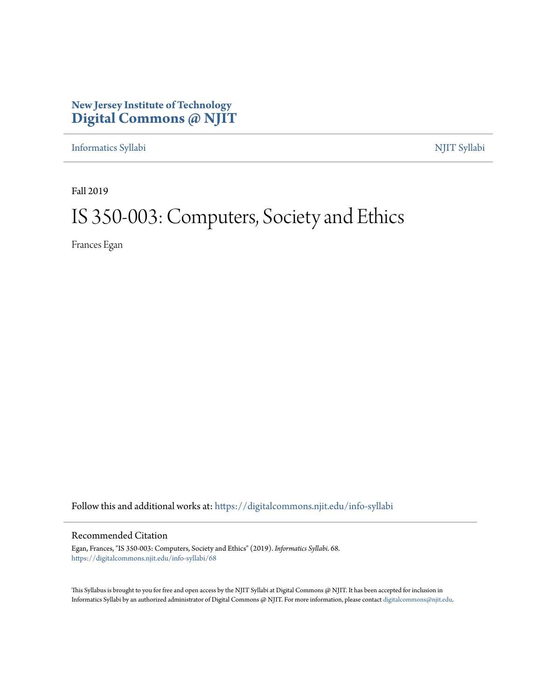# **New Jersey Institute of Technology [Digital Commons @ NJIT](https://digitalcommons.njit.edu/?utm_source=digitalcommons.njit.edu%2Finfo-syllabi%2F68&utm_medium=PDF&utm_campaign=PDFCoverPages)**

[Informatics Syllabi](https://digitalcommons.njit.edu/info-syllabi?utm_source=digitalcommons.njit.edu%2Finfo-syllabi%2F68&utm_medium=PDF&utm_campaign=PDFCoverPages) [NJIT Syllabi](https://digitalcommons.njit.edu/syllabi?utm_source=digitalcommons.njit.edu%2Finfo-syllabi%2F68&utm_medium=PDF&utm_campaign=PDFCoverPages)

Fall 2019

# IS 350-003: Computers, Society and Ethics

Frances Egan

Follow this and additional works at: [https://digitalcommons.njit.edu/info-syllabi](https://digitalcommons.njit.edu/info-syllabi?utm_source=digitalcommons.njit.edu%2Finfo-syllabi%2F68&utm_medium=PDF&utm_campaign=PDFCoverPages)

#### Recommended Citation

Egan, Frances, "IS 350-003: Computers, Society and Ethics" (2019). *Informatics Syllabi*. 68. [https://digitalcommons.njit.edu/info-syllabi/68](https://digitalcommons.njit.edu/info-syllabi/68?utm_source=digitalcommons.njit.edu%2Finfo-syllabi%2F68&utm_medium=PDF&utm_campaign=PDFCoverPages)

This Syllabus is brought to you for free and open access by the NJIT Syllabi at Digital Commons @ NJIT. It has been accepted for inclusion in Informatics Syllabi by an authorized administrator of Digital Commons @ NJIT. For more information, please contact [digitalcommons@njit.edu.](mailto:digitalcommons@njit.edu)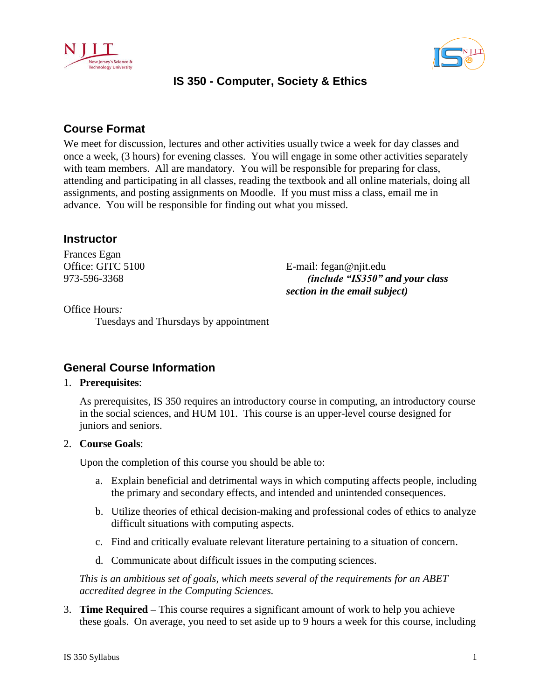



# **IS 350 - Computer, Society & Ethics**

# **Course Format**

We meet for discussion, lectures and other activities usually twice a week for day classes and once a week, (3 hours) for evening classes. You will engage in some other activities separately with team members. All are mandatory. You will be responsible for preparing for class, attending and participating in all classes, reading the textbook and all online materials, doing all assignments, and posting assignments on Moodle. If you must miss a class, email me in advance. You will be responsible for finding out what you missed.

## **Instructor**

Frances Egan Office: GITC 5100 973-596-3368

E-mail: fegan@njit.edu  *(include "IS350" and your class section in the email subject)* 

Office Hours*:*

Tuesdays and Thursdays by appointment

## **General Course Information**

## 1. **Prerequisites**:

As prerequisites, IS 350 requires an introductory course in computing, an introductory course in the social sciences, and HUM 101. This course is an upper-level course designed for juniors and seniors.

## 2. **Course Goals**:

Upon the completion of this course you should be able to:

- a. Explain beneficial and detrimental ways in which computing affects people, including the primary and secondary effects, and intended and unintended consequences.
- b. Utilize theories of ethical decision-making and professional codes of ethics to analyze difficult situations with computing aspects.
- c. Find and critically evaluate relevant literature pertaining to a situation of concern.
- d. Communicate about difficult issues in the computing sciences.

*This is an ambitious set of goals, which meets several of the requirements for an ABET accredited degree in the Computing Sciences.* 

3. **Time Required –** This course requires a significant amount of work to help you achieve these goals. On average, you need to set aside up to 9 hours a week for this course, including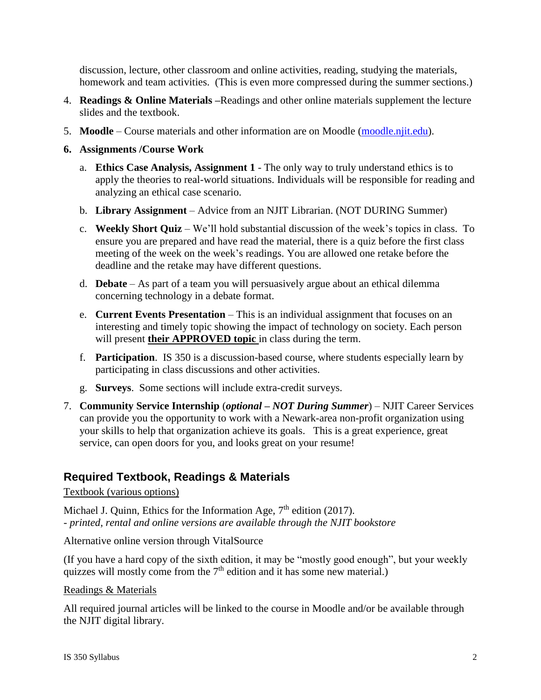discussion, lecture, other classroom and online activities, reading, studying the materials, homework and team activities. (This is even more compressed during the summer sections.)

- 4. **Readings & Online Materials –**Readings and other online materials supplement the lecture slides and the textbook.
- 5. **Moodle** Course materials and other information are on Moodle [\(moodle.njit.edu\)](http://moodle.njit.edu/).

## **6. Assignments /Course Work**

- a. **Ethics Case Analysis, Assignment 1** The only way to truly understand ethics is to apply the theories to real-world situations. Individuals will be responsible for reading and analyzing an ethical case scenario.
- b. **Library Assignment** Advice from an NJIT Librarian. (NOT DURING Summer)
- c. **Weekly Short Quiz** We'll hold substantial discussion of the week's topics in class. To ensure you are prepared and have read the material, there is a quiz before the first class meeting of the week on the week's readings. You are allowed one retake before the deadline and the retake may have different questions.
- d. **Debate** As part of a team you will persuasively argue about an ethical dilemma concerning technology in a debate format.
- e. **Current Events Presentation** This is an individual assignment that focuses on an interesting and timely topic showing the impact of technology on society. Each person will present **their APPROVED topic** in class during the term.
- f. **Participation**. IS 350 is a discussion-based course, where students especially learn by participating in class discussions and other activities.
- g. **Surveys**. Some sections will include extra-credit surveys.
- 7. **Community Service Internship** (*optional – NOT During Summer*) NJIT Career Services can provide you the opportunity to work with a Newark-area non-profit organization using your skills to help that organization achieve its goals. This is a great experience, great service, can open doors for you, and looks great on your resume!

## **Required Textbook, Readings & Materials**

## Textbook (various options)

Michael J. Quinn, Ethics for the Information Age,  $7<sup>th</sup>$  edition (2017). *- printed, rental and online versions are available through the NJIT bookstore*

Alternative online version through VitalSource

(If you have a hard copy of the sixth edition, it may be "mostly good enough", but your weekly quizzes will mostly come from the  $7<sup>th</sup>$  edition and it has some new material.)

## Readings & Materials

All required journal articles will be linked to the course in Moodle and/or be available through the NJIT digital library.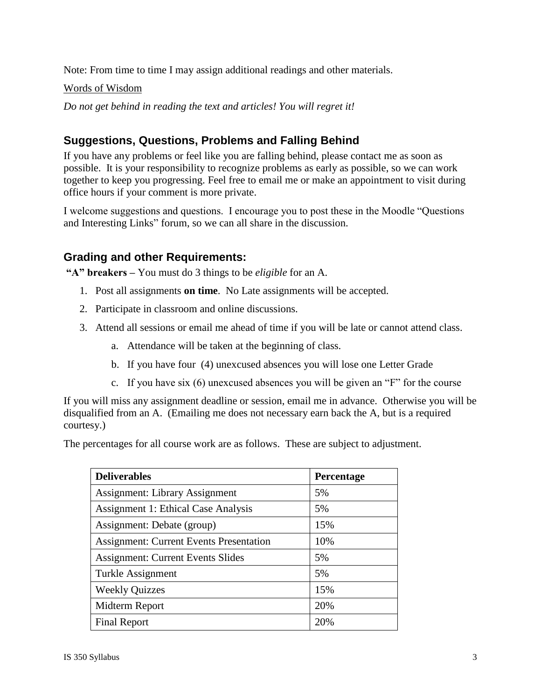Note: From time to time I may assign additional readings and other materials.

## Words of Wisdom

*Do not get behind in reading the text and articles! You will regret it!*

# **Suggestions, Questions, Problems and Falling Behind**

If you have any problems or feel like you are falling behind, please contact me as soon as possible. It is your responsibility to recognize problems as early as possible, so we can work together to keep you progressing. Feel free to email me or make an appointment to visit during office hours if your comment is more private.

I welcome suggestions and questions. I encourage you to post these in the Moodle "Questions and Interesting Links" forum, so we can all share in the discussion.

## **Grading and other Requirements:**

**"A" breakers –** You must do 3 things to be *eligible* for an A.

- 1. Post all assignments **on time**. No Late assignments will be accepted.
- 2. Participate in classroom and online discussions.
- 3. Attend all sessions or email me ahead of time if you will be late or cannot attend class.
	- a. Attendance will be taken at the beginning of class.
	- b. If you have four (4) unexcused absences you will lose one Letter Grade
	- c. If you have six (6) unexcused absences you will be given an "F" for the course

If you will miss any assignment deadline or session, email me in advance. Otherwise you will be disqualified from an A. (Emailing me does not necessary earn back the A, but is a required courtesy.)

The percentages for all course work are as follows. These are subject to adjustment.

| <b>Deliverables</b>                            | Percentage |
|------------------------------------------------|------------|
| <b>Assignment: Library Assignment</b>          | 5%         |
| <b>Assignment 1: Ethical Case Analysis</b>     | 5%         |
| Assignment: Debate (group)                     | 15%        |
| <b>Assignment: Current Events Presentation</b> | 10%        |
| <b>Assignment: Current Events Slides</b>       | 5%         |
| Turkle Assignment                              | 5%         |
| <b>Weekly Quizzes</b>                          | 15%        |
| Midterm Report                                 | 20%        |
| <b>Final Report</b>                            | 20%        |